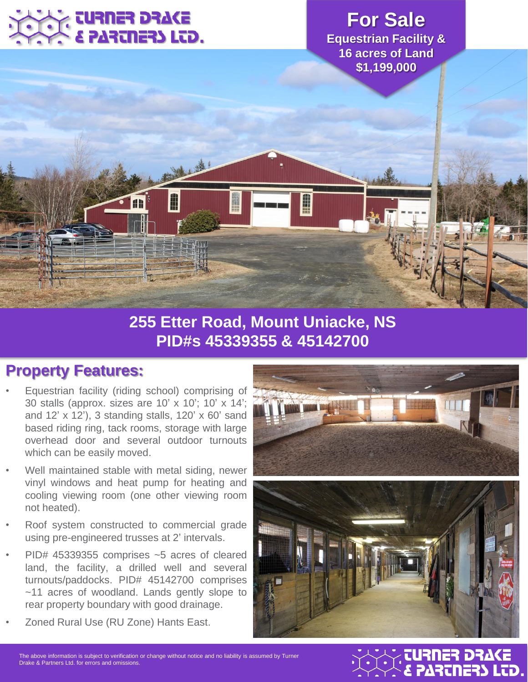

**For Sale Equestrian Facility & 16 acres of Land \$1,199,000**

## **255 Etter Road, Mount Uniacke, NS PID#s 45339355 & 45142700**

Ê

#### **Property Features:**

- Equestrian facility (riding school) comprising of 30 stalls (approx. sizes are 10' x 10'; 10' x 14'; and 12' x 12'), 3 standing stalls, 120' x 60' sand based riding ring, tack rooms, storage with large overhead door and several outdoor turnouts which can be easily moved.
- Well maintained stable with metal siding, newer vinyl windows and heat pump for heating and cooling viewing room (one other viewing room not heated).
- Roof system constructed to commercial grade using pre-engineered trusses at 2' intervals.
- PID# 45339355 comprises ~5 acres of cleared land, the facility, a drilled well and several turnouts/paddocks. PID# 45142700 comprises ~11 acres of woodland. Lands gently slope to rear property boundary with good drainage.
- Zoned Rural Use (RU Zone) Hants East.





### & PARTNERS LTD. TURNER DRAKE